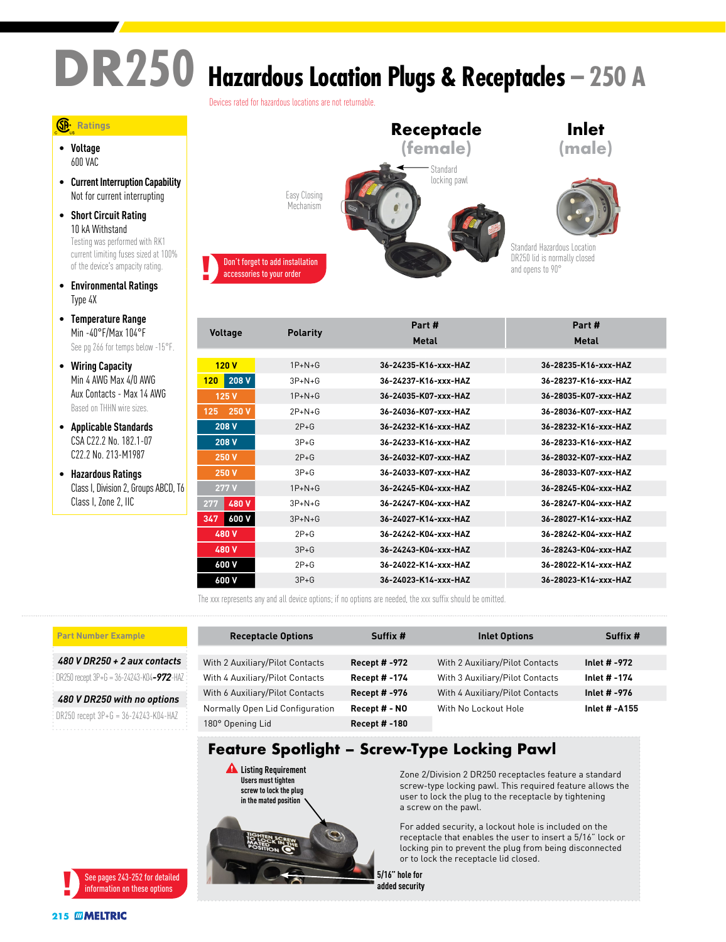# **DR250 Hazardous Location Plugs & Receptacles – 250 A**

Devices rated for hazardous locations are not returnable.

### **Ratings**

• **Voltage** 600 VAC

- **Current Interruption Capability** Not for current interrupting
- **Short Circuit Rating** 10 kA Withstand Testing was performed with RK1 current limiting fuses sized at 100% of the device's ampacity rating.
- **Environmental Ratings** Type 4X
- **Temperature Range** Min -40°F/Max 104°F See pg 266 for temps below -15°F.
- **Wiring Capacity** Min 4 AWG Max 4/0 AWG Aux Contacts - Max 14 AWG Based on THHN wire sizes.
- **Applicable Standards** CSA C22.2 No. 182.1-07 C22.2 No. 213-M1987
- **Hazardous Ratings** Class I, Division 2, Groups ABCD, T6 Class I, Zone 2, IIC



|                                   |              | Part #               | Part #               |  |
|-----------------------------------|--------------|----------------------|----------------------|--|
| <b>Voltage</b><br><b>Polarity</b> |              | Metal                | Metal                |  |
|                                   |              |                      |                      |  |
| 120V                              | $1P+N+G$     | 36-24235-K16-xxx-HAZ | 36-28235-K16-xxx-HAZ |  |
| 208 V<br>120                      | $3P+N+G$     | 36-24237-K16-xxx-HAZ | 36-28237-K16-xxx-HAZ |  |
| 125V                              | $1P+N+G$     | 36-24035-K07-xxx-HAZ | 36-28035-K07-xxx-HAZ |  |
| 250 V<br>125                      | $2P+N+G$     | 36-24036-K07-xxx-HAZ | 36-28036-K07-xxx-HAZ |  |
| 208 V                             | $2P+G$       | 36-24232-K16-xxx-HAZ | 36-28232-K16-xxx-HAZ |  |
| 208 V                             | $3P + G$     | 36-24233-K16-xxx-HAZ | 36-28233-K16-xxx-HAZ |  |
| <b>250 V</b>                      | $2P+G$       | 36-24032-K07-xxx-HAZ | 36-28032-K07-xxx-HAZ |  |
| <b>250 V</b>                      | $3P + G$     | 36-24033-K07-xxx-HAZ | 36-28033-K07-xxx-HAZ |  |
| 277 V                             | $1P+N+G$     | 36-24245-K04-xxx-HAZ | 36-28245-K04-xxx-HAZ |  |
| 480 V<br>277                      | $3P + N + G$ | 36-24247-K04-xxx-HAZ | 36-28247-K04-xxx-HAZ |  |
| 600 V<br>347                      | $3P+N+G$     | 36-24027-K14-xxx-HAZ | 36-28027-K14-xxx-HAZ |  |
| 480 V                             | $2P + G$     | 36-24242-K04-YYY-HA7 | 36-28242-K04-yyy-HA7 |  |
| 480 V                             | $3P + G$     | 36-24243-K04-xxx-HAZ | 36-28243-K04-xxx-HAZ |  |
| 600 V                             | $2P+G$       | 36-24022-K14-xxx-HAZ | 36-28022-K14-xxx-HAZ |  |
| 600 V                             | $3P + G$     | 36-24023-K14-xxx-HAZ | 36-28023-K14-xxx-HAZ |  |

**Receptacle Options Suffix # Inlet Options Suffix #**

With 2 Auxiliary/Pilot Contacts **Recept # -972** With 2 Auxiliary/Pilot Contacts **Inlet # -972** With 4 Auxiliary/Pilot Contacts **Recept # -174** With 3 Auxiliary/Pilot Contacts **Inlet # -174** With 6 Auxiliary/Pilot Contacts **Recept # -976** With 4 Auxiliary/Pilot Contacts **Inlet # -976**

The xxx represents any and all device options; if no options are needed, the xxx suffix should be omitted.

**Users must tighten screw to lock the plug in the mated position**

**DIGHTS** 

#### **Part Number Example**

*480 V DR250 + 2 aux contacts*

DR250 recept 3P+G = 36-24243-K04*-972*-HAZ

*480 V DR250 with no options* DR250 recept 3P+G = 36-24243-K04-HAZ



Normally Open Lid Configuration **Recept # - NO** With No Lockout Hole **Inlet # -A155** 180° Opening Lid **Recept # -180 Feature Spotlight – Screw-Type Locking Pawl** Zone 2/Division 2 DR250 receptacles feature a standard **Listing Requirement**

screw-type locking pawl. This required feature allows the user to lock the plug to the receptacle by tightening a screw on the pawl.

For added security, a lockout hole is included on the receptacle that enables the user to insert a 5/16" lock or locking pin to prevent the plug from being disconnected or to lock the receptacle lid closed.

**5/16" hole for added security**